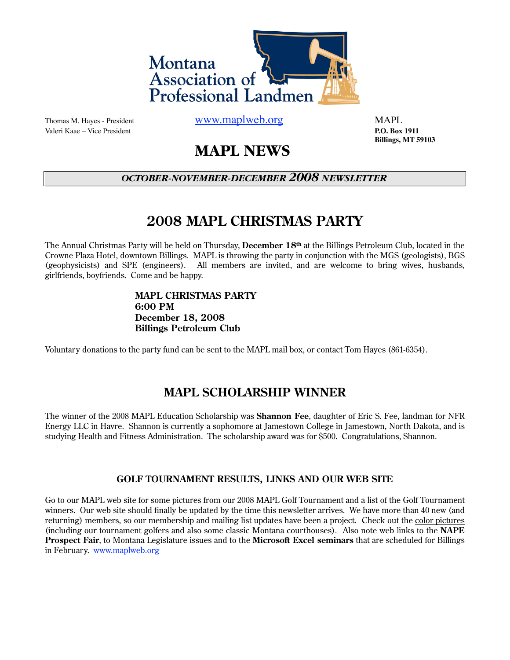

Valeri Kaae – Vice President **P.O. Box 1911**

Thomas M. Hayes - President WWW.maplweb.org MAPL

 **Billings, MT 59103**

# **MAPL NEWS**

## *OCTOBER-NOVEMBER-DECEMBER 2008 NEWSLETTER*

# **2008 MAPL CHRISTMAS PARTY**

The Annual Christmas Party will be held on Thursday, **December 18th** at the Billings Petroleum Club, located in the Crowne Plaza Hotel, downtown Billings. MAPL is throwing the party in conjunction with the MGS (geologists), BGS (geophysicists) and SPE (engineers). All members are invited, and are welcome to bring wives, husbands, girlfriends, boyfriends. Come and be happy.

### **MAPL CHRISTMAS PARTY 6:00 PM December 18, 2008 Billings Petroleum Club**

Voluntary donations to the party fund can be sent to the MAPL mail box, or contact Tom Hayes (861-6354).

## **MAPL SCHOLARSHIP WINNER**

The winner of the 2008 MAPL Education Scholarship was **Shannon Fee**, daughter of Eric S. Fee, landman for NFR Energy LLC in Havre. Shannon is currently a sophomore at Jamestown College in Jamestown, North Dakota, and is studying Health and Fitness Administration. The scholarship award was for \$500. Congratulations, Shannon.

### **GOLF TOURNAMENT RESULTS, LINKS AND OUR WEB SITE**

Go to our MAPL web site for some pictures from our 2008 MAPL Golf Tournament and a list of the Golf Tournament winners. Our web site should finally be updated by the time this newsletter arrives. We have more than 40 new (and returning) members, so our membership and mailing list updates have been a project. Check out the color pictures (including our tournament golfers and also some classic Montana courthouses). Also note web links to the **NAPE Prospect Fair**, to Montana Legislature issues and to the **Microsoft Excel seminars** that are scheduled for Billings in February. [www.maplweb.org](http://www.maplweb.org)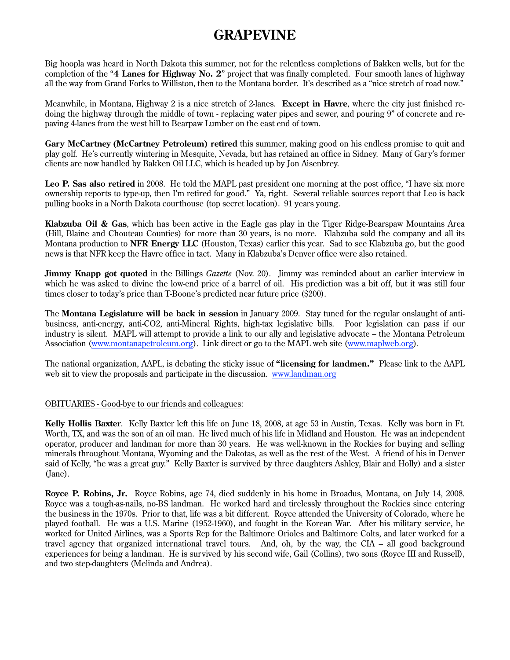# **GRAPEVINE**

Big hoopla was heard in North Dakota this summer, not for the relentless completions of Bakken wells, but for the completion of the "**4 Lanes for Highway No. 2**" project that was finally completed. Four smooth lanes of highway all the way from Grand Forks to Williston, then to the Montana border. It's described as a "nice stretch of road now."

Meanwhile, in Montana, Highway 2 is a nice stretch of 2-lanes. **Except in Havre**, where the city just finished redoing the highway through the middle of town - replacing water pipes and sewer, and pouring 9" of concrete and repaving 4-lanes from the west hill to Bearpaw Lumber on the east end of town.

**Gary McCartney (McCartney Petroleum) retired** this summer, making good on his endless promise to quit and play golf. He's currently wintering in Mesquite, Nevada, but has retained an office in Sidney. Many of Gary's former clients are now handled by Bakken Oil LLC, which is headed up by Jon Aisenbrey.

**Leo P. Sas also retired** in 2008. He told the MAPL past president one morning at the post office, "I have six more ownership reports to type-up, then I'm retired for good." Ya, right. Several reliable sources report that Leo is back pulling books in a North Dakota courthouse (top secret location). 91 years young.

**Klabzuba Oil & Gas**, which has been active in the Eagle gas play in the Tiger Ridge-Bearspaw Mountains Area (Hill, Blaine and Chouteau Counties) for more than 30 years, is no more. Klabzuba sold the company and all its Montana production to **NFR Energy LLC** (Houston, Texas) earlier this year. Sad to see Klabzuba go, but the good news is that NFR keep the Havre office in tact. Many in Klabzuba's Denver office were also retained.

**Jimmy Knapp got quoted** in the Billings *Gazette* (Nov. 20). Jimmy was reminded about an earlier interview in which he was asked to divine the low-end price of a barrel of oil. His prediction was a bit off, but it was still four times closer to today's price than T-Boone's predicted near future price (\$200).

The **Montana Legislature will be back in session** in January 2009. Stay tuned for the regular onslaught of antibusiness, anti-energy, anti-CO2, anti-Mineral Rights, high-tax legislative bills. Poor legislation can pass if our industry is silent. MAPL will attempt to provide a link to our ally and legislative advocate – the Montana Petroleum Association ([www.montanapetroleum.org\)](http://www.montanapetroleum.org). Link direct or go to the MAPL web site [\(www.maplweb.org\)](http://www.maplweb.org).

The national organization, AAPL, is debating the sticky issue of **"licensing for landmen."** Please link to the AAPL web sit to view the proposals and participate in the discussion. [www.landman.org](http://www.landman.org)

#### OBITUARIES - Good-bye to our friends and colleagues:

**Kelly Hollis Baxter**. Kelly Baxter left this life on June 18, 2008, at age 53 in Austin, Texas. Kelly was born in Ft. Worth, TX, and was the son of an oil man. He lived much of his life in Midland and Houston. He was an independent operator, producer and landman for more than 30 years. He was well-known in the Rockies for buying and selling minerals throughout Montana, Wyoming and the Dakotas, as well as the rest of the West. A friend of his in Denver said of Kelly, "he was a great guy." Kelly Baxter is survived by three daughters Ashley, Blair and Holly) and a sister (Jane).

**Royce P. Robins, Jr.** Royce Robins, age 74, died suddenly in his home in Broadus, Montana, on July 14, 2008. Royce was a tough-as-nails, no-BS landman. He worked hard and tirelessly throughout the Rockies since entering the business in the 1970s. Prior to that, life was a bit different. Royce attended the University of Colorado, where he played football. He was a U.S. Marine (1952-1960), and fought in the Korean War. After his military service, he worked for United Airlines, was a Sports Rep for the Baltimore Orioles and Baltimore Colts, and later worked for a travel agency that organized international travel tours. And, oh, by the way, the CIA – all good background experiences for being a landman. He is survived by his second wife, Gail (Collins), two sons (Royce III and Russell), and two step-daughters (Melinda and Andrea).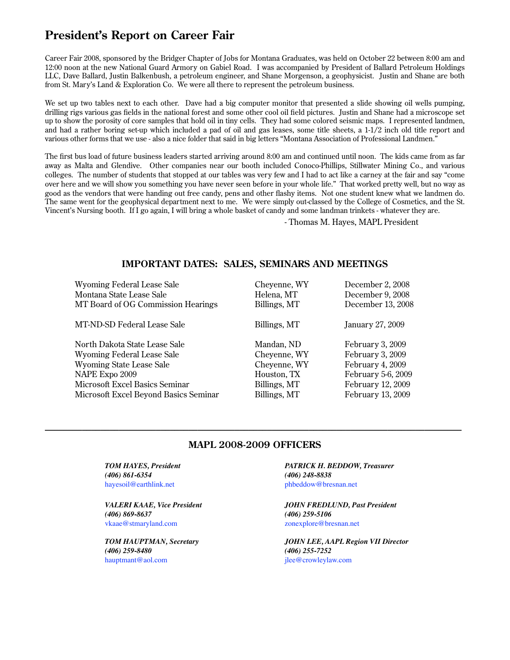# **President's Report on Career Fair**

Career Fair 2008, sponsored by the Bridger Chapter of Jobs for Montana Graduates, was held on October 22 between 8:00 am and 12:00 noon at the new National Guard Armory on Gabiel Road. I was accompanied by President of Ballard Petroleum Holdings LLC, Dave Ballard, Justin Balkenbush, a petroleum engineer, and Shane Morgenson, a geophysicist. Justin and Shane are both from St. Mary's Land & Exploration Co. We were all there to represent the petroleum business.

We set up two tables next to each other. Dave had a big computer monitor that presented a slide showing oil wells pumping, drilling rigs various gas fields in the national forest and some other cool oil field pictures. Justin and Shane had a microscope set up to show the porosity of core samples that hold oil in tiny cells. They had some colored seismic maps. I represented landmen, and had a rather boring set-up which included a pad of oil and gas leases, some title sheets, a 1-1/2 inch old title report and various other forms that we use - also a nice folder that said in big letters "Montana Association of Professional Landmen."

The first bus load of future business leaders started arriving around 8:00 am and continued until noon. The kids came from as far away as Malta and Glendive. Other companies near our booth included Conoco-Phillips, Stillwater Mining Co., and various colleges. The number of students that stopped at our tables was very few and I had to act like a carney at the fair and say "come over here and we will show you something you have never seen before in your whole life." That worked pretty well, but no way as good as the vendors that were handing out free candy, pens and other flashy items. Not one student knew what we landmen do. The same went for the geophysical department next to me. We were simply out-classed by the College of Cosmetics, and the St. Vincent's Nursing booth. If I go again, I will bring a whole basket of candy and some landman trinkets - whatever they are.

- Thomas M. Hayes, MAPL President

### **IMPORTANT DATES: SALES, SEMINARS AND MEETINGS**

Wyoming Federal Lease Sale Cheyenne, WY December 2, 2008 Montana State Lease Sale Helena, MT December 9, 2008 MT Board of OG Commission Hearings Billings, MT December 13, 2008

MT-ND-SD Federal Lease Sale Billings, MT January 27, 2009

North Dakota State Lease Sale Mandan, ND February 3, 2009 Wyoming Federal Lease Sale **Cheyenne, WY** February 3, 2009 Wyoming State Lease Sale **Cheyenne, WY** February 4, 2009 NAPE Expo 2009 Houston, TX February 5-6, 2009 Microsoft Excel Basics Seminar Billings, MT February 12, 2009 Microsoft Excel Beyond Basics Seminar Billings, MT February 13, 2009

#### **MAPL 2008-2009 OFFICERS**

**\_\_\_\_\_\_\_\_\_\_\_\_\_\_\_\_\_\_\_\_\_\_\_\_\_\_\_\_\_\_\_\_\_\_\_\_\_\_\_\_\_\_\_\_\_\_\_\_\_\_\_\_\_\_\_\_\_\_\_\_\_\_\_\_\_\_\_\_\_\_\_\_\_\_\_\_\_\_\_\_\_\_\_\_\_\_\_\_\_\_**

*(406) 861-6354
 (406) 248-8838* [hayesoil@earthlink.net](mailto:hayesoil@earthlink.net) by the [phbeddow@bresnan.net](mailto:phbeddow@bresnan.net)

*(406) 869-8637
 (406) 259-5106*  [vkaae@stmaryland.com](mailto:vkaae@stmaryland.com) [zonexplore@bresnan.net](mailto:zonexplore@bresnan.net)

 *(406) 259-8480
 (406) 255-7252*  [hauptmant@aol.com](mailto:hauptmant@aol.com) [jlee@crowleylaw.com](mailto:jlee@crowleylaw.com)

*TOM HAYES, President
 PATRICK H. BEDDOW, Treasurer* 

*VALERI KAAE, Vice President JOHN FREDLUND, Past President*

*TOM HAUPTMAN, Secretary 
 JOHN LEE, AAPL Region VII Director*